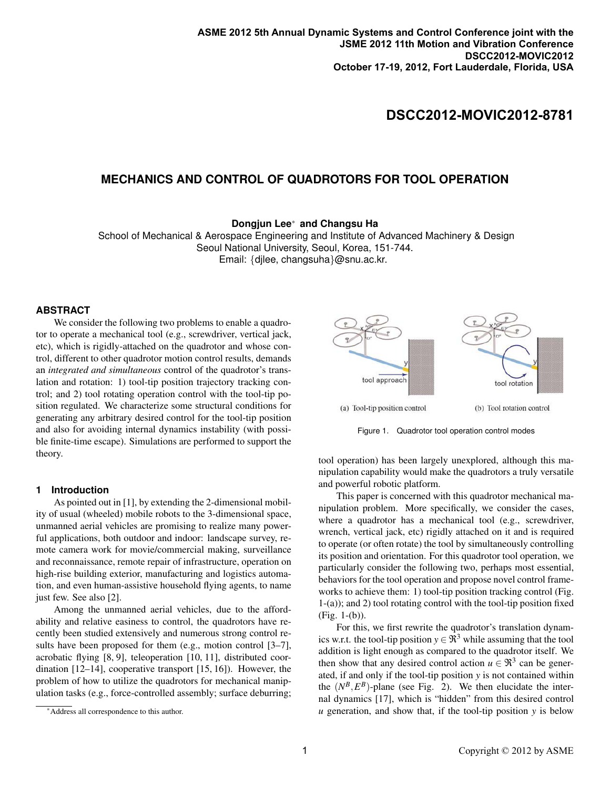# **DSCC2012-MOVIC2012-8781**

## **MECHANICS AND CONTROL OF QUADROTORS FOR TOOL OPERATION**

**Dongjun Lee**<sup>∗</sup> **and Changsu Ha**

School of Mechanical & Aerospace Engineering and Institute of Advanced Machinery & Design Seoul National University, Seoul, Korea, 151-744. Email: {djlee, changsuha}@snu.ac.kr.

### **ABSTRACT**

We consider the following two problems to enable a quadrotor to operate a mechanical tool (e.g., screwdriver, vertical jack, etc), which is rigidly-attached on the quadrotor and whose control, different to other quadrotor motion control results, demands an *integrated and simultaneous* control of the quadrotor's translation and rotation: 1) tool-tip position trajectory tracking control; and 2) tool rotating operation control with the tool-tip position regulated. We characterize some structural conditions for generating any arbitrary desired control for the tool-tip position and also for avoiding internal dynamics instability (with possible finite-time escape). Simulations are performed to support the theory.

#### **1 Introduction**

As pointed out in [1], by extending the 2-dimensional mobility of usual (wheeled) mobile robots to the 3-dimensional space, unmanned aerial vehicles are promising to realize many powerful applications, both outdoor and indoor: landscape survey, remote camera work for movie/commercial making, surveillance and reconnaissance, remote repair of infrastructure, operation on high-rise building exterior, manufacturing and logistics automation, and even human-assistive household flying agents, to name just few. See also [2].

Among the unmanned aerial vehicles, due to the affordability and relative easiness to control, the quadrotors have recently been studied extensively and numerous strong control results have been proposed for them (e.g., motion control [3–7], acrobatic flying [8, 9], teleoperation [10, 11], distributed coordination [12–14], cooperative transport [15, 16]). However, the problem of how to utilize the quadrotors for mechanical manipulation tasks (e.g., force-controlled assembly; surface deburring;



Figure 1. Quadrotor tool operation control modes

tool operation) has been largely unexplored, although this manipulation capability would make the quadrotors a truly versatile and powerful robotic platform.

This paper is concerned with this quadrotor mechanical manipulation problem. More specifically, we consider the cases, where a quadrotor has a mechanical tool (e.g., screwdriver, wrench, vertical jack, etc) rigidly attached on it and is required to operate (or often rotate) the tool by simultaneously controlling its position and orientation. For this quadrotor tool operation, we particularly consider the following two, perhaps most essential, behaviors for the tool operation and propose novel control frameworks to achieve them: 1) tool-tip position tracking control (Fig. 1-(a)); and 2) tool rotating control with the tool-tip position fixed (Fig. 1-(b)).

For this, we first rewrite the quadrotor's translation dynamics w.r.t. the tool-tip position  $y \in \mathfrak{R}^3$  while assuming that the tool addition is light enough as compared to the quadrotor itself. We then show that any desired control action  $u \in \mathbb{R}^3$  can be generated, if and only if the tool-tip position *y* is not contained within the  $(N^B, E^B)$ -plane (see Fig. 2). We then elucidate the internal dynamics [17], which is "hidden" from this desired control *u* generation, and show that, if the tool-tip position *y* is below

<sup>∗</sup>Address all correspondence to this author.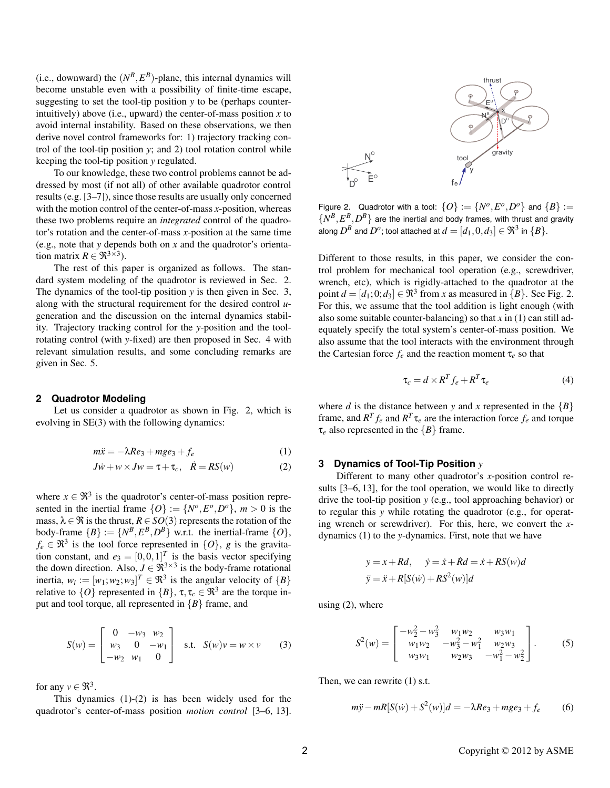(i.e., downward) the  $(N^B, E^B)$ -plane, this internal dynamics will become unstable even with a possibility of finite-time escape, suggesting to set the tool-tip position  $y$  to be (perhaps counterintuitively) above (i.e., upward) the center-of-mass position  $x$  to avoid internal instability. Based on these observations, we then derive novel control frameworks for: 1) trajectory tracking control of the tool-tip position  $y$ ; and 2) tool rotation control while keeping the tool-tip position y regulated.

To our knowledge, these two control problems cannot be addressed by most (if not all) of other available quadrotor control results (e.g.  $[3-7]$ ), since those results are usually only concerned with the motion control of the center-of-mass  $x$ -position, whereas these two problems require an *integrated* control of the quadrotor's rotation and the center-of-mass  $x$ -position at the same time (e.g., note that y depends both on  $x$  and the quadrotor's orientation matrix  $R \in \mathfrak{R}^{3 \times 3}$ ).

The rest of this paper is organized as follows. The standard system modeling of the quadrotor is reviewed in Sec. 2. The dynamics of the tool-tip position  $y$  is then given in Sec. 3, along with the structural requirement for the desired control  $u$ generation and the discussion on the internal dynamics stability. Trajectory tracking control for the y-position and the toolrotating control (with y-fixed) are then proposed in Sec. 4 with relevant simulation results, and some concluding remarks are given in Sec. 5.

### 2 Quadrotor Modeling

Let us consider a quadrotor as shown in Fig. 2, which is evolving in  $SE(3)$  with the following dynamics:

$$
m\ddot{x} = -\lambda Re_3 + mge_3 + f_e \tag{1}
$$

$$
J\dot{w} + w \times Jw = \tau + \tau_c, \quad \dot{R} = RS(w) \tag{2}
$$

where  $x \in \mathfrak{R}^3$  is the quadrotor's center-of-mass position represented in the inertial frame  $\{O\} := \{N^o, E^o, D^o\}$ ,  $m > 0$  is the mass,  $\lambda \in \mathfrak{R}$  is the thrust,  $R \in SO(3)$  represents the rotation of the body-frame  $\{B\} := \{N^B, E^B, D^B\}$  w.r.t. the inertial-frame  $\{O\}$ ,  $f_e \in \mathfrak{R}^3$  is the tool force represented in  $\{O\}$ , g is the gravitation constant, and  $e_3 = [0, 0, 1]^T$  is the basis vector specifying<br>the down direction. Also,  $J \in \mathbb{R}^{3 \times 3}$  is the body-frame rotational inertia,  $w_i := [w_1; w_2; w_3]^T \in \mathbb{R}^3$  is the angular velocity of  $\{B\}$ relative to  $\{O\}$  represented in  $\{B\}$ ,  $\tau, \tau_c \in \mathbb{R}^3$  are the torque input and tool torque, all represented in  ${B}$  frame, and

$$
S(w) = \begin{bmatrix} 0 & -w_3 & w_2 \\ w_3 & 0 & -w_1 \\ -w_2 & w_1 & 0 \end{bmatrix} \text{ s.t. } S(w)v = w \times v \qquad (3)
$$

for any  $v \in \mathfrak{R}^3$ .

This dynamics  $(1)-(2)$  is has been widely used for the quadrotor's center-of-mass position *motion control* [3-6, 13].



Figure 2. Quadrotor with a tool:  $\{O\}:=\{N^{o},E^{o},D^{o}\}$  and  $\{B\}:=$  $\{N^B, E^B, D^B\}$  are the inertial and body frames, with thrust and gravity along  $D^B$  and  $D^o$ ; tool attached at  $d = [d_1, 0, d_3] \in \mathfrak{R}^3$  in  $\{B\}$ .

Different to those results, in this paper, we consider the control problem for mechanical tool operation (e.g., screwdriver, wrench, etc), which is rigidly-attached to the quadrotor at the point  $d = [d_1:0;d_3] \in \mathbb{R}^3$  from x as measured in  $\{B\}$ . See Fig. 2. For this, we assume that the tool addition is light enough (with also some suitable counter-balancing) so that x in  $(1)$  can still adequately specify the total system's center-of-mass position. We also assume that the tool interacts with the environment through the Cartesian force  $f_e$  and the reaction moment  $\tau_e$  so that

$$
\tau_c = d \times R^T f_e + R^T \tau_e \tag{4}
$$

where d is the distance between y and x represented in the  ${B}$ frame, and  $R^T f_e$  and  $R^T \tau_e$  are the interaction force  $f_e$  and torque  $\tau_e$  also represented in the  $\{B\}$  frame.

#### **Dynamics of Tool-Tip Position** y 3

Different to many other quadrotor's  $x$ -position control results  $[3-6, 13]$ , for the tool operation, we would like to directly drive the tool-tip position  $y$  (e.g., tool approaching behavior) or to regular this  $y$  while rotating the quadrotor (e.g., for operating wrench or screwdriver). For this, here, we convert the xdynamics  $(1)$  to the y-dynamics. First, note that we have

$$
y = x + Rd, \quad \dot{y} = \dot{x} + \dot{R}d = \dot{x} + RS(w)d
$$

$$
\ddot{y} = \ddot{x} + R[S(\dot{w}) + RS^{2}(\dot{w})]d
$$

using  $(2)$ , where

$$
S^{2}(w) = \begin{bmatrix} -w_{2}^{2} - w_{3}^{2} & w_{1}w_{2} & w_{3}w_{1} \\ w_{1}w_{2} & -w_{3}^{2} - w_{1}^{2} & w_{2}w_{3} \\ w_{3}w_{1} & w_{2}w_{3} & -w_{1}^{2} - w_{2}^{2} \end{bmatrix}.
$$
 (5)

Then, we can rewrite  $(1)$  s.t.

$$
m\ddot{y} - mR[S(\dot{w}) + S^2(w)]d = -\lambda Re_3 + mge_3 + f_e \tag{6}
$$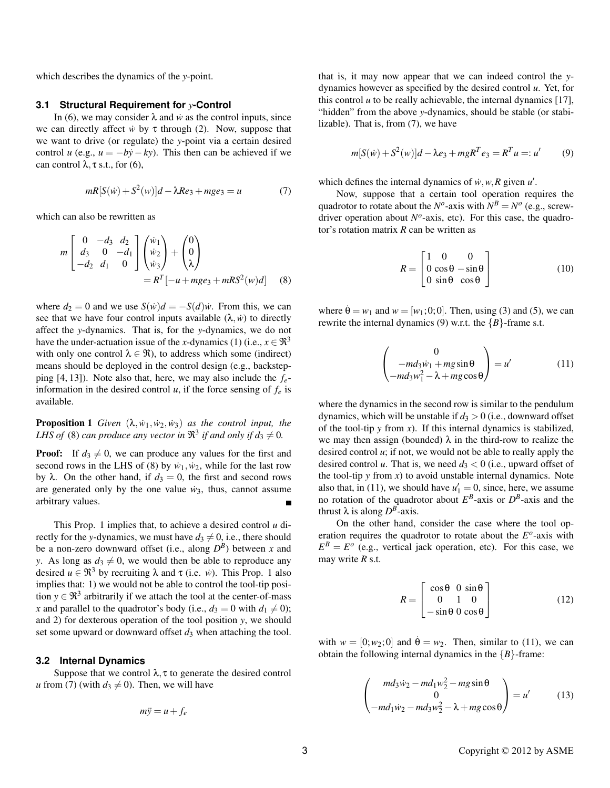which describes the dynamics of the y-point.

#### **Structural Requirement for y-Control**  $3.1$

In (6), we may consider  $\lambda$  and  $\dot{w}$  as the control inputs, since we can directly affect  $\dot{w}$  by  $\tau$  through (2). Now, suppose that we want to drive (or regulate) the y-point via a certain desired control u (e.g.,  $u = -by - ky$ ). This then can be achieved if we can control  $\lambda$ ,  $\tau$  s.t., for (6),

$$
mR[S(w) + S2(w)]d - \lambda Re3 + mge3 = u
$$
 (7)

which can also be rewritten as

$$
m\begin{bmatrix} 0 & -d_3 & d_2 \\ d_3 & 0 & -d_1 \\ -d_2 & d_1 & 0 \end{bmatrix} \begin{pmatrix} \dot{w}_1 \\ \dot{w}_2 \\ \dot{w}_3 \end{pmatrix} + \begin{pmatrix} 0 \\ 0 \\ \lambda \end{pmatrix}
$$
  
=  $R^T[-u + mge_3 + mRS^2(w)d]$  (8)

where  $d_2 = 0$  and we use  $S(\dot{w})d = -S(d)\dot{w}$ . From this, we can see that we have four control inputs available  $(\lambda, \dot{w})$  to directly affect the y-dynamics. That is, for the y-dynamics, we do not have the under-actuation issue of the x-dynamics (1) (i.e.,  $x \in \mathbb{R}^3$ with only one control  $\lambda \in \mathfrak{R}$ ), to address which some (indirect) means should be deployed in the control design (e.g., backstepping [4, 13]). Note also that, here, we may also include the  $f_e$ information in the desired control u, if the force sensing of  $f_e$  is available.

**Proposition 1** Given  $(\lambda, \dot{w}_1, \dot{w}_2, \dot{w}_3)$  as the control input, the LHS of (8) can produce any vector in  $\mathbb{R}^3$  if and only if  $d_3 \neq 0$ .

**Proof:** If  $d_3 \neq 0$ , we can produce any values for the first and second rows in the LHS of (8) by  $\dot{w}_1, \dot{w}_2$ , while for the last row by  $\lambda$ . On the other hand, if  $d_3 = 0$ , the first and second rows are generated only by the one value  $\dot{w}_3$ , thus, cannot assume arbitrary values.

This Prop. 1 implies that, to achieve a desired control  $u$  directly for the y-dynamics, we must have  $d_3 \neq 0$ , i.e., there should be a non-zero downward offset (i.e., along  $D^B$ ) between x and y. As long as  $d_3 \neq 0$ , we would then be able to reproduce any desired  $u \in \mathfrak{R}^3$  by recruiting  $\lambda$  and  $\tau$  (i.e. *w*). This Prop. 1 also implies that: 1) we would not be able to control the tool-tip position  $y \in \mathbb{R}^3$  arbitrarily if we attach the tool at the center-of-mass x and parallel to the quadrotor's body (i.e.,  $d_3 = 0$  with  $d_1 \neq 0$ ); and 2) for dexterous operation of the tool position  $y$ , we should set some upward or downward offset  $d_3$  when attaching the tool.

### 3.2 Internal Dynamics

Suppose that we control  $\lambda$ ,  $\tau$  to generate the desired control u from (7) (with  $d_3 \neq 0$ ). Then, we will have

$$
m\ddot{y} = u + f_e
$$

that is, it may now appear that we can indeed control the ydynamics however as specified by the desired control  $u$ . Yet, for this control  $u$  to be really achievable, the internal dynamics [17], "hidden" from the above y-dynamics, should be stable (or stabilizable). That is, from (7), we have

$$
m[S(\dot{w}) + S^2(w)]d - \lambda e_3 + mgR^T e_3 = R^T u =: u'
$$
 (9)

which defines the internal dynamics of  $\dot{w}, w, R$  given  $u'$ .

Now, suppose that a certain tool operation requires the quadrotor to rotate about the  $N^o$ -axis with  $N^B = N^o$  (e.g., screwdriver operation about  $N^{\circ}$ -axis, etc). For this case, the quadrotor's rotation matrix  $R$  can be written as

$$
R = \begin{bmatrix} 1 & 0 & 0 \\ 0 & \cos\theta - \sin\theta \\ 0 & \sin\theta & \cos\theta \end{bmatrix}
$$
 (10)

where  $\dot{\theta} = w_1$  and  $w = [w_1; 0; 0]$ . Then, using (3) and (5), we can rewrite the internal dynamics (9) w.r.t. the  ${B}$ -frame s.t.

$$
\begin{pmatrix} 0 \\ -md_3w_1 + mg\sin\theta \\ -md_3w_1^2 - \lambda + mg\cos\theta \end{pmatrix} = u'
$$
 (11)

where the dynamics in the second row is similar to the pendulum dynamics, which will be unstable if  $d_3 > 0$  (i.e., downward offset of the tool-tip  $y$  from  $x$ ). If this internal dynamics is stabilized, we may then assign (bounded)  $\lambda$  in the third-row to realize the desired control  $u$ ; if not, we would not be able to really apply the desired control u. That is, we need  $d_3 < 0$  (i.e., upward offset of the tool-tip  $y$  from  $x$ ) to avoid unstable internal dynamics. Note also that, in (11), we should have  $u'_1 = 0$ , since, here, we assume no rotation of the quadrotor about  $E^B$ -axis or  $D^B$ -axis and the thrust  $\lambda$  is along  $D^B$ -axis.

On the other hand, consider the case where the tool operation requires the quadrotor to rotate about the  $E<sup>o</sup>$ -axis with  $E^B = E^o$  (e.g., vertical jack operation, etc). For this case, we may write  $R$  s.t.

$$
R = \begin{bmatrix} \cos \theta & 0 & \sin \theta \\ 0 & 1 & 0 \\ -\sin \theta & 0 & \cos \theta \end{bmatrix}
$$
 (12)

with  $w = [0; w_2; 0]$  and  $\dot{\theta} = w_2$ . Then, similar to (11), we can obtain the following internal dynamics in the  ${B}$ -frame:

$$
\begin{pmatrix} md_3\dot{w}_2 - md_1w_2^2 - mg\sin\theta \\ 0 \\ -md_1\dot{w}_2 - md_3w_2^2 - \lambda + mg\cos\theta \end{pmatrix} = u'
$$
 (13)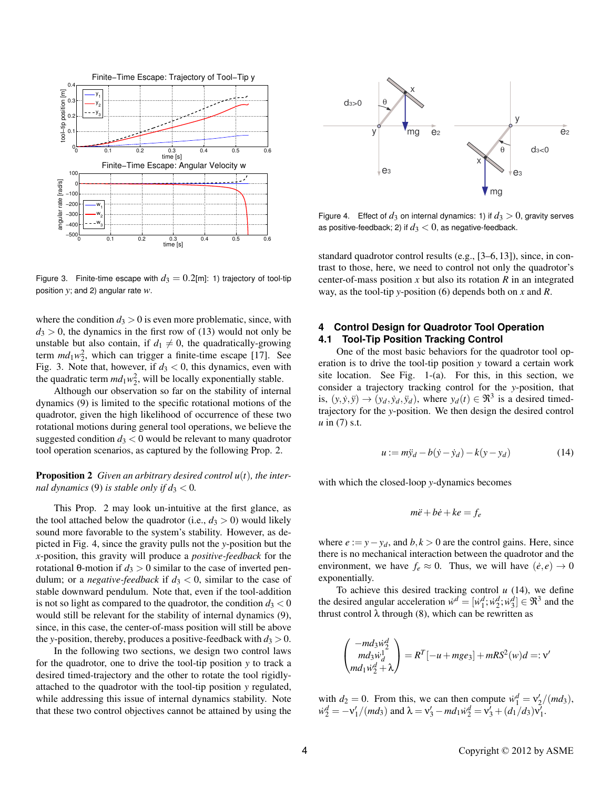

Figure 3. Finite-time escape with  $d_3 = 0.2$ [m]: 1) trajectory of tool-tip position  $y$ ; and 2) angular rate  $w$ .

where the condition  $d_3 > 0$  is even more problematic, since, with  $d_3 > 0$ , the dynamics in the first row of (13) would not only be unstable but also contain, if  $d_1 \neq 0$ , the quadratically-growing term  $md_1w_2^2$ , which can trigger a finite-time escape [17]. See Fig. 3. Note that, however, if  $d_3 < 0$ , this dynamics, even with the quadratic term  $md_1w_2^2$ , will be locally exponentially stable.

Although our observation so far on the stability of internal dynamics (9) is limited to the specific rotational motions of the quadrotor, given the high likelihood of occurrence of these two rotational motions during general tool operations, we believe the suggested condition  $d_3 < 0$  would be relevant to many quadrotor tool operation scenarios, as captured by the following Prop. 2.

### **Proposition 2** Given an arbitrary desired control  $u(t)$ , the internal dynamics (9) is stable only if  $d_3 < 0$ .

This Prop. 2 may look un-intuitive at the first glance, as the tool attached below the quadrotor (i.e.,  $d_3 > 0$ ) would likely sound more favorable to the system's stability. However, as depicted in Fig. 4, since the gravity pulls not the y-position but the *x*-position, this gravity will produce a *positive-feedback* for the rotational  $\theta$ -motion if  $d_3 > 0$  similar to the case of inverted pendulum; or a *negative-feedback* if  $d_3 < 0$ , similar to the case of stable downward pendulum. Note that, even if the tool-addition is not so light as compared to the quadrotor, the condition  $d_3 < 0$ would still be relevant for the stability of internal dynamics (9), since, in this case, the center-of-mass position will still be above the y-position, thereby, produces a positive-feedback with  $d_3 > 0$ .

In the following two sections, we design two control laws for the quadrotor, one to drive the tool-tip position  $y$  to track a desired timed-trajectory and the other to rotate the tool rigidlyattached to the quadrotor with the tool-tip position y regulated, while addressing this issue of internal dynamics stability. Note that these two control objectives cannot be attained by using the



Figure 4. Effect of  $d_3$  on internal dynamics: 1) if  $d_3 > 0$ , gravity serves as positive-feedback; 2) if  $d_3 < 0$ , as negative-feedback.

standard quadrotor control results (e.g., [3–6, 13]), since, in contrast to those, here, we need to control not only the quadrotor's center-of-mass position  $x$  but also its rotation  $R$  in an integrated way, as the tool-tip y-position (6) depends both on x and R.

#### **Control Design for Quadrotor Tool Operation** 4 **Tool-Tip Position Tracking Control**  $4.1$

One of the most basic behaviors for the quadrotor tool operation is to drive the tool-tip position y toward a certain work site location. See Fig. 1-(a). For this, in this section, we consider a trajectory tracking control for the y-position, that is,  $(y, \dot{y}, \ddot{y}) \rightarrow (y_d, \dot{y}_d, \ddot{y}_d)$ , where  $y_d(t) \in \mathfrak{R}^3$  is a desired timedtrajectory for the y-position. We then design the desired control  $u$  in (7) s.t.

$$
u := m\ddot{y}_d - b(\dot{y} - \dot{y}_d) - k(y - y_d)
$$
 (14)

with which the closed-loop y-dynamics becomes

$$
m\ddot{e} + b\dot{e} + ke = f_e
$$

where  $e := y - y_d$ , and  $b, k > 0$  are the control gains. Here, since there is no mechanical interaction between the quadrotor and the environment, we have  $f_e \approx 0$ . Thus, we will have  $(\dot{e}, e) \rightarrow 0$ exponentially.

To achieve this desired tracking control  $u$  (14), we define the desired angular acceleration  $\dot{w}^d = [\dot{w}_1^d; \dot{w}_2^d; \dot{w}_3^d] \in \mathfrak{R}^3$  and the thrust control  $\lambda$  through (8), which can be rewritten as

$$
\begin{pmatrix} -md_3\dot{w}_2^d\\ md_3\dot{w}_d^1\\ md_1\dot{w}_2^d+\lambda \end{pmatrix} = R^T[-u+mge_3]+mRS^2(w)d=:v'
$$

with  $d_2 = 0$ . From this, we can then compute  $\dot{w}_1^d = v_2'/(md_3)$ ,<br> $\dot{w}_2^d = -v_1'/(md_3)$  and  $\lambda = v_3' - md_1\dot{w}_2^d = v_3' + (d_1/d_3)v_1'$ .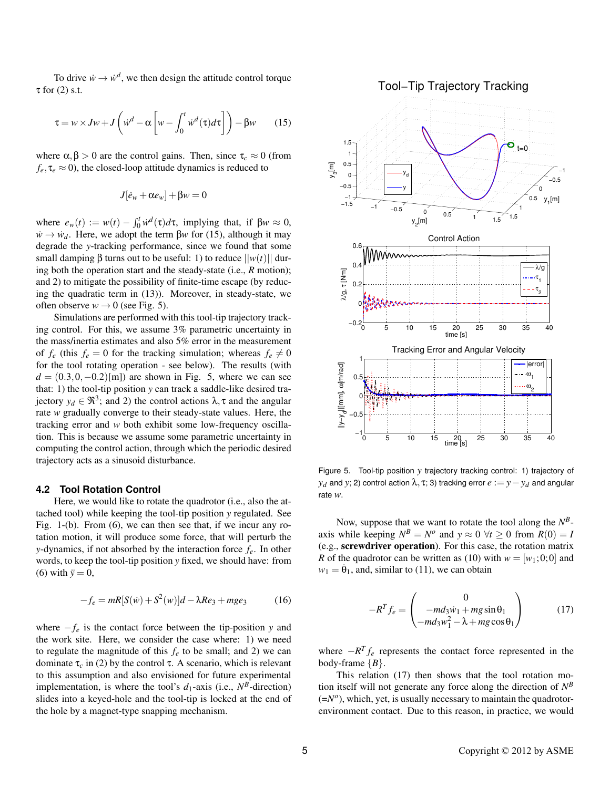To drive  $\dot{w} \rightarrow \dot{w}^d$ , we then design the attitude control torque  $\tau$  for (2) s.t.

$$
\tau = w \times Jw + J\left(\dot{w}^d - \alpha \left[w - \int_0^t \dot{w}^d(\tau) d\tau\right]\right) - \beta w \qquad (15)
$$

where  $\alpha, \beta > 0$  are the control gains. Then, since  $\tau_c \approx 0$  (from  $f_e, \tau_e \approx 0$ ), the closed-loop attitude dynamics is reduced to

$$
J[\dot{e}_w + \alpha e_w] + \beta w = 0
$$

where  $e_w(t) := w(t) - \int_0^t \dot{w}^d(\tau) d\tau$ , implying that, if  $\beta w \approx 0$ ,  $\dot{w} \rightarrow \dot{w}_d$ . Here, we adopt the term  $\beta w$  for (15), although it may degrade the y-tracking performance, since we found that some small damping  $\beta$  turns out to be useful: 1) to reduce  $||w(t)||$  during both the operation start and the steady-state (i.e.,  $R$  motion); and 2) to mitigate the possibility of finite-time escape (by reducing the quadratic term in (13)). Moreover, in steady-state, we often observe  $w \rightarrow 0$  (see Fig. 5).

Simulations are performed with this tool-tip trajectory tracking control. For this, we assume 3% parametric uncertainty in the mass/inertia estimates and also 5% error in the measurement of  $f_e$  (this  $f_e = 0$  for the tracking simulation; whereas  $f_e \neq 0$ for the tool rotating operation - see below). The results (with  $d = (0.3, 0, -0.2)$ [m]) are shown in Fig. 5, where we can see that: 1) the tool-tip position y can track a saddle-like desired trajectory  $y_d \in \mathfrak{R}^3$ ; and 2) the control actions  $\lambda$ ,  $\tau$  and the angular rate w gradually converge to their steady-state values. Here, the tracking error and w both exhibit some low-frequency oscillation. This is because we assume some parametric uncertainty in computing the control action, through which the periodic desired trajectory acts as a sinusoid disturbance.

#### **4.2 Tool Rotation Control**

Here, we would like to rotate the quadrotor (*i.e.*, also the attached tool) while keeping the tool-tip position y regulated. See Fig. 1-(b). From (6), we can then see that, if we incur any rotation motion, it will produce some force, that will perturb the y-dynamics, if not absorbed by the interaction force  $f_e$ . In other words, to keep the tool-tip position y fixed, we should have: from (6) with  $\ddot{v} = 0$ ,

$$
-f_e = mR[S(\dot{w}) + S^2(w)]d - \lambda Re_3 + mge_3 \tag{16}
$$

where  $-f_e$  is the contact force between the tip-position y and the work site. Here, we consider the case where: 1) we need to regulate the magnitude of this  $f_e$  to be small; and 2) we can dominate  $\tau_c$  in (2) by the control  $\tau$ . A scenario, which is relevant to this assumption and also envisioned for future experimental implementation, is where the tool's  $d_1$ -axis (i.e.,  $N^B$ -direction) slides into a keyed-hole and the tool-tip is locked at the end of the hole by a magnet-type snapping mechanism.



Figure 5. Tool-tip position y trajectory tracking control: 1) trajectory of  $y_d$  and y; 2) control action  $\lambda$ ,  $\tau$ ; 3) tracking error  $e := y - y_d$  and angular rate  $w$ .

Now, suppose that we want to rotate the tool along the  $N^B$ axis while keeping  $N^B = N^o$  and  $y \approx 0 \ \forall t \ge 0$  from  $R(0) = I$ (e.g., screwdriver operation). For this case, the rotation matrix R of the quadrotor can be written as (10) with  $w = [w_1; 0; 0]$  and  $w_1 = \dot{\theta}_1$ , and, similar to (11), we can obtain

$$
-R^{T}f_{e} = \begin{pmatrix} 0\\ -md_{3}\dot{w}_{1} + mg\sin\theta_{1} \\ -md_{3}w_{1}^{2} - \lambda + mg\cos\theta_{1} \end{pmatrix}
$$
 (17)

where  $-R^{T} f_{e}$  represents the contact force represented in the body-frame  ${B}$ .

This relation (17) then shows that the tool rotation motion itself will not generate any force along the direction of  $N^B$  $(=N<sup>o</sup>)$ , which, yet, is usually necessary to maintain the quadrotorenvironment contact. Due to this reason, in practice, we would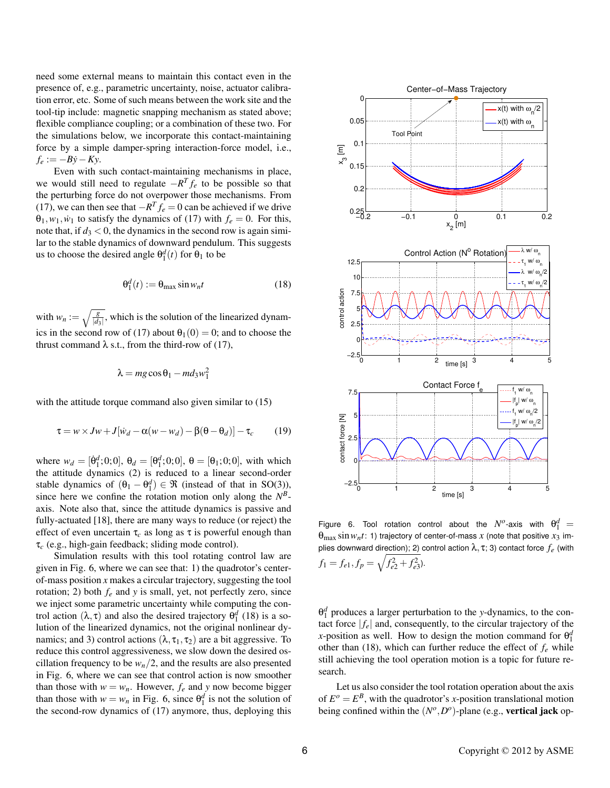need some external means to maintain this contact even in the presence of, e.g., parametric uncertainty, noise, actuator calibration error, etc. Some of such means between the work site and the tool-tip include: magnetic snapping mechanism as stated above; flexible compliance coupling; or a combination of these two. For the simulations below, we incorporate this contact-maintaining force by a simple damper-spring interaction-force model, i.e.,  $f_e := -By - Ky.$ 

Even with such contact-maintaining mechanisms in place, we would still need to regulate  $-R^{T} f_e$  to be possible so that the perturbing force do not overpower those mechanisms. From (17), we can then see that  $-R^{T} f_e = 0$  can be achieved if we drive  $\theta_1, w_1, w_1$  to satisfy the dynamics of (17) with  $f_e = 0$ . For this, note that, if  $d_3 < 0$ , the dynamics in the second row is again similar to the stable dynamics of downward pendulum. This suggests us to choose the desired angle  $\theta_1^d(t)$  for  $\theta_1$  to be

$$
\Theta_1^d(t) := \Theta_{\text{max}} \sin w_n t \tag{18}
$$

with  $w_n := \sqrt{\frac{g}{|d_3|}}$ , which is the solution of the linearized dynamics in the second row of (17) about  $\theta_1(0) = 0$ ; and to choose the thrust command  $\lambda$  s.t., from the third-row of (17),

$$
\lambda = mg\cos\theta_1 - md_3w_1^2
$$

with the attitude torque command also given similar to  $(15)$ 

$$
\tau = w \times Jw + J[\dot{w}_d - \alpha(w - w_d) - \beta(\theta - \theta_d)] - \tau_c \tag{19}
$$

where  $w_d = [\dot{\theta}_1^d, 0, 0], \theta_d = [\theta_1^d, 0, 0], \theta = [\theta_1, 0, 0],$  with which the attitude dynamics (2) is reduced to a linear second-order stable dynamics of  $(\theta_1 - \theta_1^d) \in \Re$  (instead of that in SO(3)), since here we confine the rotation motion only along the  $N<sup>B</sup>$ axis. Note also that, since the attitude dynamics is passive and fully-actuated [18], there are many ways to reduce (or reject) the effect of even uncertain  $\tau_c$  as long as  $\tau$  is powerful enough than  $\tau_c$  (e.g., high-gain feedback; sliding mode control).

Simulation results with this tool rotating control law are given in Fig. 6, where we can see that: 1) the quadrotor's centerof-mass position  $x$  makes a circular trajectory, suggesting the tool rotation; 2) both  $f_e$  and y is small, yet, not perfectly zero, since we inject some parametric uncertainty while computing the control action  $(\lambda, \tau)$  and also the desired trajectory  $\theta_1^d$  (18) is a solution of the linearized dynamics, not the original nonlinear dynamics; and 3) control actions  $(\lambda, \tau_1, \tau_2)$  are a bit aggressive. To reduce this control aggressiveness, we slow down the desired oscillation frequency to be  $w_n/2$ , and the results are also presented in Fig. 6, where we can see that control action is now smoother than those with  $w = w_n$ . However,  $f_e$  and y now become bigger than those with  $w = w_n$  in Fig. 6, since  $\theta_1^d$  is not the solution of the second-row dynamics of (17) anymore, thus, deploying this



Figure 6. Tool rotation control about the  $N^o$ -axis with  $\theta_1^d$  =  $\theta_{\text{max}}$  sin  $w_n t$ : 1) trajectory of center-of-mass x (note that positive  $x_3$  implies downward direction); 2) control action  $\lambda$ ,  $\tau$ ; 3) contact force  $f_e$  (with  $f_1 = f_{e1}, f_p = \sqrt{f_{e2}^2 + f_{e3}^2}.$ 

 $\theta_1^d$  produces a larger perturbation to the y-dynamics, to the contact force  $|f_e|$  and, consequently, to the circular trajectory of the x-position as well. How to design the motion command for  $\theta_1^d$ other than (18), which can further reduce the effect of  $f_e$  while still achieving the tool operation motion is a topic for future research.

Let us also consider the tool rotation operation about the axis of  $E^o = E^B$ , with the quadrotor's x-position translational motion being confined within the  $(N^{\circ}, D^{\circ})$ -plane (e.g., **vertical jack** op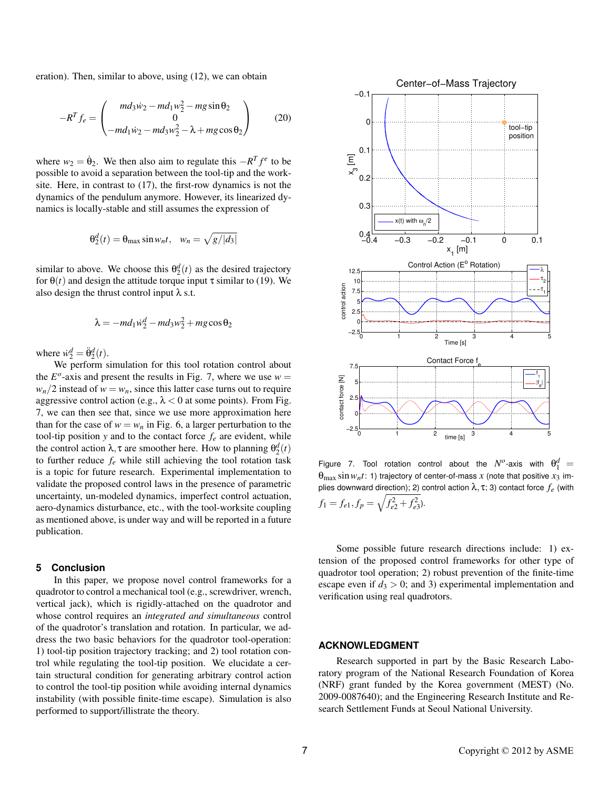eration). Then, similar to above, using  $(12)$ , we can obtain

$$
-R^{T} f_{e} = \begin{pmatrix} md_{3} \dot{w}_{2} - md_{1} w_{2}^{2} - mg \sin \theta_{2} \\ 0 \\ -md_{1} \dot{w}_{2} - md_{3} w_{2}^{2} - \lambda + mg \cos \theta_{2} \end{pmatrix}
$$
 (20)

where  $w_2 = \dot{\theta}_2$ . We then also aim to regulate this  $-R^T f^e$  to be possible to avoid a separation between the tool-tip and the worksite. Here, in contrast to (17), the first-row dynamics is not the dynamics of the pendulum anymore. However, its linearized dynamics is locally-stable and still assumes the expression of

$$
\theta_2^d(t) = \theta_{\text{max}} \sin w_n t, \quad w_n = \sqrt{g/|d_3|}
$$

similar to above. We choose this  $\theta_2^d(t)$  as the desired trajectory for  $\theta(t)$  and design the attitude torque input  $\tau$  similar to (19). We also design the thrust control input  $\lambda$  s.t.

$$
\lambda = -md_1\dot{w}_2^d - md_3w_2^2 + mg\cos\theta_2
$$

where  $\dot{w}_2^d = \ddot{\theta}_2^d(t)$ .

We perform simulation for this tool rotation control about the  $E^{\circ}$ -axis and present the results in Fig. 7, where we use  $w =$  $w_n/2$  instead of  $w = w_n$ , since this latter case turns out to require aggressive control action (e.g.,  $\lambda$  < 0 at some points). From Fig. 7, we can then see that, since we use more approximation here than for the case of  $w = w_n$  in Fig. 6, a larger perturbation to the tool-tip position y and to the contact force  $f_e$  are evident, while the control action  $\lambda$ ,  $\tau$  are smoother here. How to planning  $\theta_2^d(t)$ to further reduce  $f_e$  while still achieving the tool rotation task is a topic for future research. Experimental implementation to validate the proposed control laws in the presence of parametric uncertainty, un-modeled dynamics, imperfect control actuation, aero-dynamics disturbance, etc., with the tool-worksite coupling as mentioned above, is under way and will be reported in a future publication.

#### 5 Conclusion

In this paper, we propose novel control frameworks for a quadrotor to control a mechanical tool (e.g., screwdriver, wrench, vertical jack), which is rigidly-attached on the quadrotor and whose control requires an *integrated and simultaneous* control of the quadrotor's translation and rotation. In particular, we address the two basic behaviors for the quadrotor tool-operation: 1) tool-tip position trajectory tracking; and 2) tool rotation control while regulating the tool-tip position. We elucidate a certain structural condition for generating arbitrary control action to control the tool-tip position while avoiding internal dynamics instability (with possible finite-time escape). Simulation is also performed to support/illistrate the theory.



Figure 7. Tool rotation control about the  $N^o$ -axis with  $\theta_1^d$  =  $\theta_{\text{max}}$  sin  $w_n t$ : 1) trajectory of center-of-mass x (note that positive  $x_3$  implies downward direction); 2) control action  $\lambda$ ,  $\tau$ ; 3) contact force  $f_e$  (with  $f_1 = f_{e1}, f_p = \sqrt{f_{e2}^2 + f_{e3}^2}.$ 

Some possible future research directions include: 1) extension of the proposed control frameworks for other type of quadrotor tool operation; 2) robust prevention of the finite-time escape even if  $d_3 > 0$ ; and 3) experimental implementation and verification using real quadrotors.

### **ACKNOWLEDGMENT**

Research supported in part by the Basic Research Laboratory program of the National Research Foundation of Korea (NRF) grant funded by the Korea government (MEST) (No. 2009-0087640); and the Engineering Research Institute and Research Settlement Funds at Seoul National University.